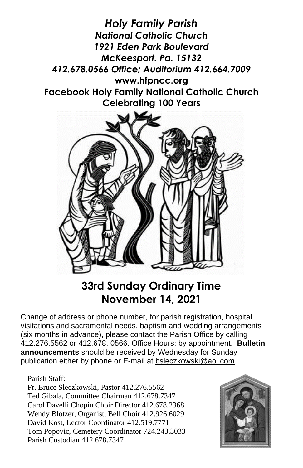*Holy Family Parish National Catholic Church 1921 Eden Park Boulevard McKeesport. Pa. 15132 412.678.0566 Office; Auditorium 412.664.7009* **[www.hfpncc.org](http://www.hfpncc.org/) Facebook Holy Family National Catholic Church Celebrating 100 Years**



# **33rd Sunday Ordinary Time November 14, 2021**

Change of address or phone number, for parish registration, hospital visitations and sacramental needs, baptism and wedding arrangements (six months in advance), please contact the Parish Office by calling 412.276.5562 or 412.678. 0566. Office Hours: by appointment. **Bulletin announcements** should be received by Wednesday for Sunday publication either by phone or E-mail at [bsleczkowski@aol.com](mailto:bsleczkowski@aol.com)

### Parish Staff:

Fr. Bruce Sleczkowski, Pastor 412.276.5562 Ted Gibala, Committee Chairman 412.678.7347 Carol Davelli Chopin Choir Director 412.678.2368 Wendy Blotzer, Organist, Bell Choir 412.926.6029 David Kost, Lector Coordinator 412.519.7771 Tom Popovic, Cemetery Coordinator 724.243.3033 Parish Custodian 412.678.7347

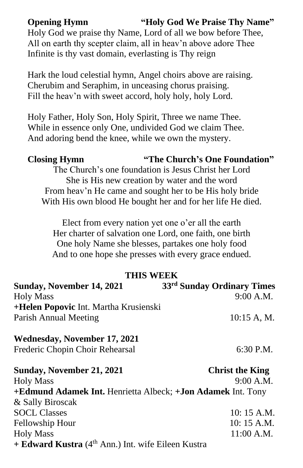**Opening Hymn "Holy God We Praise Thy Name"**

Holy God we praise thy Name, Lord of all we bow before Thee, All on earth thy scepter claim, all in heav'n above adore Thee Infinite is thy vast domain, everlasting is Thy reign

Hark the loud celestial hymn, Angel choirs above are raising. Cherubim and Seraphim, in unceasing chorus praising. Fill the heav'n with sweet accord, holy holy, holy Lord.

Holy Father, Holy Son, Holy Spirit, Three we name Thee. While in essence only One, undivided God we claim Thee. And adoring bend the knee, while we own the mystery.

**Closing Hymn "The Church's One Foundation"**

The Church's one foundation is Jesus Christ her Lord She is His new creation by water and the word From heav'n He came and sought her to be His holy bride With His own blood He bought her and for her life He died.

Elect from every nation yet one o'er all the earth Her charter of salvation one Lord, one faith, one birth One holy Name she blesses, partakes one holy food And to one hope she presses with every grace endued.

### **THIS WEEK**

| Sunday, November 14, 2021             | 33 <sup>rd</sup> Sunday Ordinary Times |
|---------------------------------------|----------------------------------------|
| <b>Holy Mass</b>                      | 9:00 A.M.                              |
| +Helen Popovic Int. Martha Krusienski |                                        |
| Parish Annual Meeting                 | 10:15 A, M.                            |
| Wednesday, November 17, 2021          |                                        |
| Frederic Chopin Choir Rehearsal       | 6:30 P.M.                              |
| Sunday, November 21, 2021             | <b>Christ the King</b>                 |
| <b>Holy Mass</b>                      | 9:00 A.M.                              |

**+Edmund Adamek Int.** Henrietta Albeck; **+Jon Adamek** Int. Tony & Sally Biroscak SOCL Classes 10: 15 A.M. Fellowship Hour 10: 15 A.M. Holy Mass 11:00 A.M. **+ Edward Kustra** (4th Ann.) Int. wife Eileen Kustra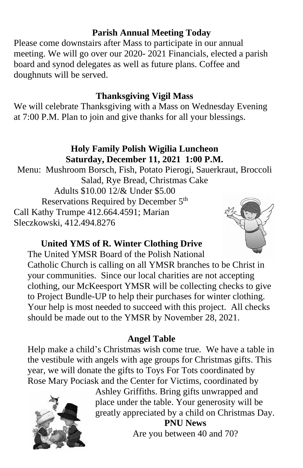# **Parish Annual Meeting Today**

 Please come downstairs after Mass to participate in our annual meeting. We will go over our 2020- 2021 Financials, elected a parish board and synod delegates as well as future plans. Coffee and doughnuts will be served.

# **Thanksgiving Vigil Mass**

We will celebrate Thanksgiving with a Mass on Wednesday Evening at 7:00 P.M. Plan to join and give thanks for all your blessings.

### **Holy Family Polish Wigilia Luncheon Saturday, December 11, 2021 1:00 P.M.**

Menu: Mushroom Borsch, Fish, Potato Pierogi, Sauerkraut, Broccoli Salad, Rye Bread, Christmas Cake Adults \$10.00 12/& Under \$5.00 Reservations Required by December 5<sup>th</sup> Call Kathy Trumpe 412.664.4591; Marian Sleczkowski, 412.494.8276



# **United YMS of R. Winter Clothing Drive**

The United YMSR Board of the Polish National Catholic Church is calling on all YMSR branches to be Christ in your communities. Since our local charities are not accepting clothing, our McKeesport YMSR will be collecting checks to give to Project Bundle-UP to help their purchases for winter clothing. Your help is most needed to succeed with this project. All checks should be made out to the YMSR by November 28, 2021.

# **Angel Table**

Help make a child's Christmas wish come true. We have a table in the vestibule with angels with age groups for Christmas gifts. This year, we will donate the gifts to Toys For Tots coordinated by Rose Mary Pociask and the Center for Victims, coordinated by



Ashley Griffiths. Bring gifts unwrapped and place under the table. Your generosity will be greatly appreciated by a child on Christmas Day. **PNU News** Are you between 40 and 70?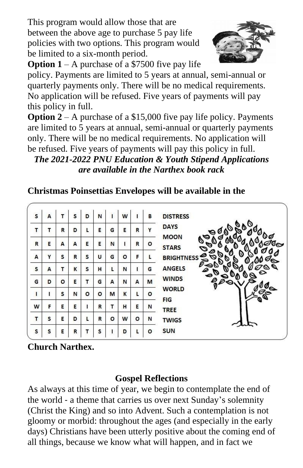This program would allow those that are between the above age to purchase 5 pay life policies with two options. This program would be limited to a six-month period.



**Option 1** – A purchase of a \$7500 five pay life policy. Payments are limited to 5 years at annual, semi-annual or quarterly payments only. There will be no medical requirements. No application will be refused. Five years of payments will pay

this policy in full.

**Option 2** – A purchase of a \$15,000 five pay life policy. Payments are limited to 5 years at annual, semi-annual or quarterly payments only. There will be no medical requirements. No application will be refused. Five years of payments will pay this policy in full.

*The 2021-2022 PNU Education & Youth Stipend Applications are available in the Narthex book rack*

### s  $\overline{A}$  $\mathsf{r}$ s D N  $\overline{1}$ w B **DISTRESS DAYS** T Y T R D L E G E R **MOON**  $\mathsf{R}$ E A A E E  $\mathsf{N}$ Ï.  $\mathbf R$ o **STARS** Y s U F A s  $\mathsf{R}$ G  $\circ$ L **BRIGHTNES** s A T  $\mathsf{K}$ s H L N T. G **ANGELS**  $\mathbf{0}_{0}$ **WINDS** G D  $\circ$ E T G  $\mathbf{A}$ N  $\mathbf{A}$ M **WORLD**  $\mathbf{I}$  $\mathbf{I}$ S N  $\circ$  $\circ$ M K L o **FIG** F E  $\mathbf{I}$  $\mathsf{R}$ T  $H$ E W E N **TREE** s E D L R  $\circ$ W  $\circ$ T N **TWIGS SUN** S D o S S E R T  $\mathbf{I}$ L

# **Christmas Poinsettias Envelopes will be available in the**

**Church Narthex.**

# **Gospel Reflections**

As always at this time of year, we begin to contemplate the end of the world ‑ a theme that carries us over next Sunday's solemnity (Christ the King) and so into Advent. Such a contemplation is not gloomy or morbid: throughout the ages (and especially in the early days) Christians have been utterly positive about the coming end of all things, because we know what will happen, and in fact we